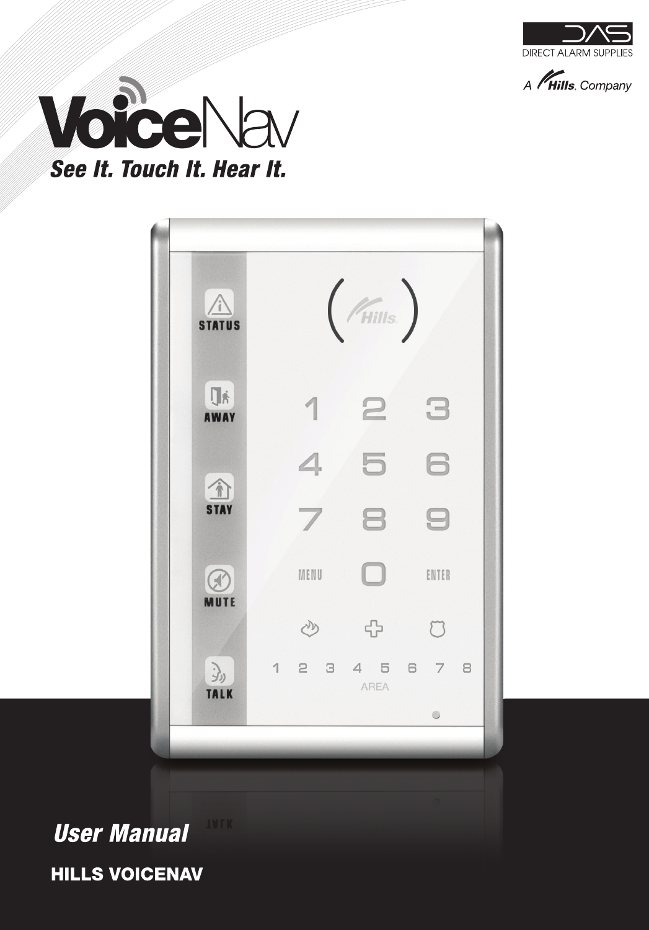







# **IVFK User Manual HILLS VOICENAV**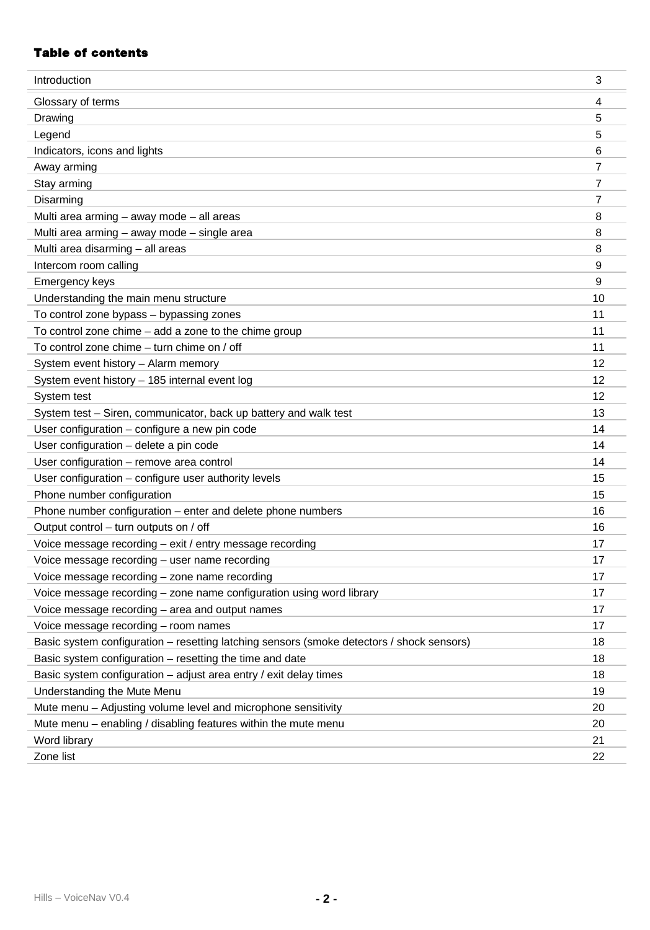# **Table of contents**

| Introduction                                                                              | 3              |
|-------------------------------------------------------------------------------------------|----------------|
| Glossary of terms                                                                         | 4              |
| Drawing                                                                                   | 5              |
| Legend                                                                                    | 5              |
| Indicators, icons and lights                                                              | 6              |
| Away arming                                                                               | 7              |
| Stay arming                                                                               | $\overline{7}$ |
| Disarming                                                                                 | $\overline{7}$ |
| Multi area arming - away mode - all areas                                                 | 8              |
| Multi area arming - away mode - single area                                               | 8              |
| Multi area disarming - all areas                                                          | 8              |
| Intercom room calling                                                                     | 9              |
| Emergency keys                                                                            | 9              |
| Understanding the main menu structure                                                     | 10             |
| To control zone bypass - bypassing zones                                                  | 11             |
| To control zone chime - add a zone to the chime group                                     | 11             |
| To control zone chime - turn chime on / off                                               | 11             |
| System event history - Alarm memory                                                       | 12             |
| System event history - 185 internal event log                                             | 12             |
| System test                                                                               | 12             |
| System test - Siren, communicator, back up battery and walk test                          | 13             |
| User configuration - configure a new pin code                                             | 14             |
| User configuration - delete a pin code                                                    | 14             |
| User configuration - remove area control                                                  | 14             |
| User configuration - configure user authority levels                                      | 15             |
| Phone number configuration                                                                | 15             |
| Phone number configuration - enter and delete phone numbers                               | 16             |
| Output control - turn outputs on / off                                                    | 16             |
| Voice message recording - exit / entry message recording                                  | 17             |
| Voice message recording - user name recording                                             | 17             |
| Voice message recording - zone name recording                                             | 17             |
| Voice message recording - zone name configuration using word library                      | 17             |
| Voice message recording - area and output names                                           | 17             |
| Voice message recording - room names                                                      | 17             |
| Basic system configuration – resetting latching sensors (smoke detectors / shock sensors) | 18             |
| Basic system configuration - resetting the time and date                                  | 18             |
| Basic system configuration - adjust area entry / exit delay times                         | 18             |
| Understanding the Mute Menu                                                               | 19             |
| Mute menu - Adjusting volume level and microphone sensitivity                             | 20             |
| Mute menu - enabling / disabling features within the mute menu                            | 20             |
| Word library                                                                              | 21             |
| Zone list                                                                                 | 22             |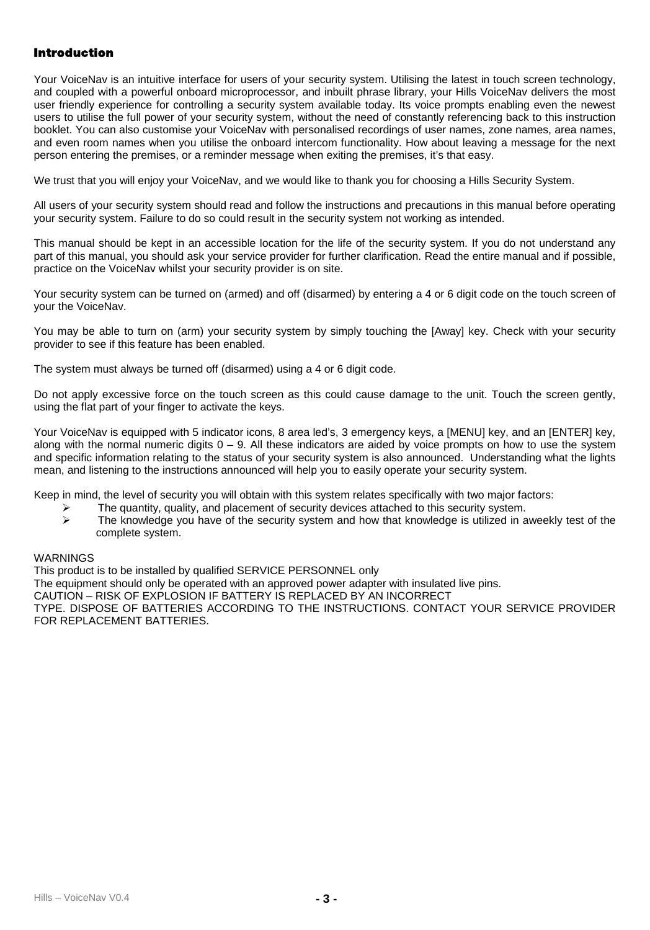# **Introduction**

Your VoiceNav is an intuitive interface for users of your security system. Utilising the latest in touch screen technology, and coupled with a powerful onboard microprocessor, and inbuilt phrase library, your Hills VoiceNav delivers the most user friendly experience for controlling a security system available today. Its voice prompts enabling even the newest users to utilise the full power of your security system, without the need of constantly referencing back to this instruction booklet. You can also customise your VoiceNav with personalised recordings of user names, zone names, area names, and even room names when you utilise the onboard intercom functionality. How about leaving a message for the next person entering the premises, or a reminder message when exiting the premises, it's that easy.

We trust that you will enjoy your VoiceNay, and we would like to thank you for choosing a Hills Security System.

All users of your security system should read and follow the instructions and precautions in this manual before operating your security system. Failure to do so could result in the security system not working as intended.

This manual should be kept in an accessible location for the life of the security system. If you do not understand any part of this manual, you should ask your service provider for further clarification. Read the entire manual and if possible, practice on the VoiceNav whilst your security provider is on site.

Your security system can be turned on (armed) and off (disarmed) by entering a 4 or 6 digit code on the touch screen of your the VoiceNav.

You may be able to turn on (arm) your security system by simply touching the [Away] key. Check with your security provider to see if this feature has been enabled.

The system must always be turned off (disarmed) using a 4 or 6 digit code.

Do not apply excessive force on the touch screen as this could cause damage to the unit. Touch the screen gently, using the flat part of your finger to activate the keys.

Your VoiceNav is equipped with 5 indicator icons, 8 area led's, 3 emergency keys, a [MENU] key, and an [ENTER] key, along with the normal numeric digits  $0 - 9$ . All these indicators are aided by voice prompts on how to use the system and specific information relating to the status of your security system is also announced. Understanding what the lights mean, and listening to the instructions announced will help you to easily operate your security system.

Keep in mind, the level of security you will obtain with this system relates specifically with two major factors:

- $\ge$  The quantity, quality, and placement of security devices attached to this security system.<br> $\ge$  The knowledge you have of the security system and how that knowledge is utilized in a
- The knowledge you have of the security system and how that knowledge is utilized in aweekly test of the complete system.

#### **WARNINGS**

This product is to be installed by qualified SERVICE PERSONNEL only

The equipment should only be operated with an approved power adapter with insulated live pins.

CAUTION – RISK OF EXPLOSION IF BATTERY IS REPLACED BY AN INCORRECT

TYPE. DISPOSE OF BATTERIES ACCORDING TO THE INSTRUCTIONS. CONTACT YOUR SERVICE PROVIDER FOR REPLACEMENT BATTERIES.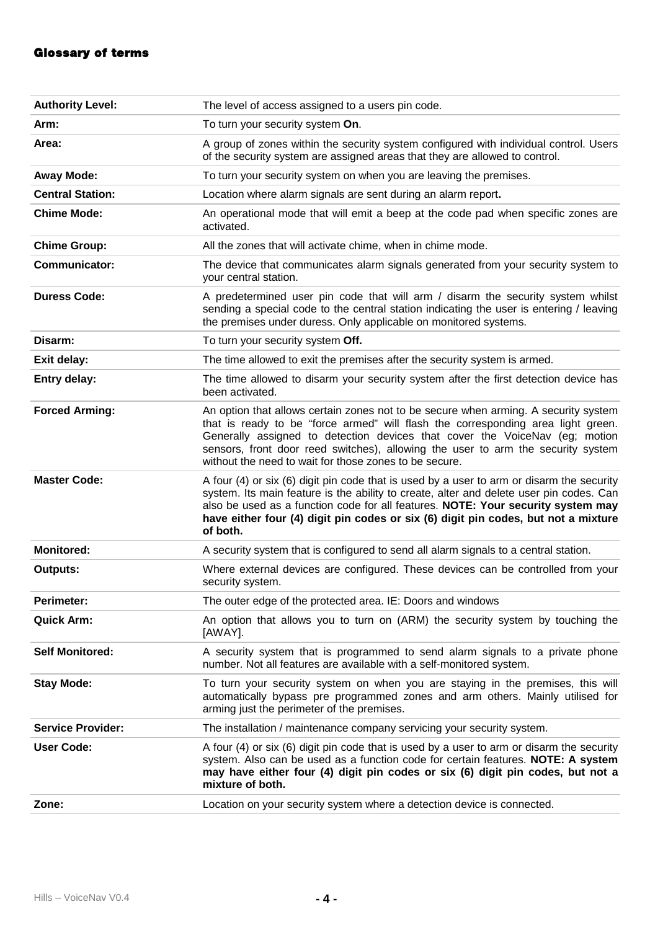# **Glossary of terms**

| <b>Authority Level:</b>                                                                                                                                                                                                                                                                                                                                                                           | The level of access assigned to a users pin code.                                                                                                                                                                                                                                                                                                                                                    |  |
|---------------------------------------------------------------------------------------------------------------------------------------------------------------------------------------------------------------------------------------------------------------------------------------------------------------------------------------------------------------------------------------------------|------------------------------------------------------------------------------------------------------------------------------------------------------------------------------------------------------------------------------------------------------------------------------------------------------------------------------------------------------------------------------------------------------|--|
| Arm:                                                                                                                                                                                                                                                                                                                                                                                              | To turn your security system On.                                                                                                                                                                                                                                                                                                                                                                     |  |
| Area:                                                                                                                                                                                                                                                                                                                                                                                             | A group of zones within the security system configured with individual control. Users<br>of the security system are assigned areas that they are allowed to control.                                                                                                                                                                                                                                 |  |
| Away Mode:                                                                                                                                                                                                                                                                                                                                                                                        | To turn your security system on when you are leaving the premises.                                                                                                                                                                                                                                                                                                                                   |  |
| <b>Central Station:</b>                                                                                                                                                                                                                                                                                                                                                                           | Location where alarm signals are sent during an alarm report.                                                                                                                                                                                                                                                                                                                                        |  |
| <b>Chime Mode:</b>                                                                                                                                                                                                                                                                                                                                                                                | An operational mode that will emit a beep at the code pad when specific zones are<br>activated.                                                                                                                                                                                                                                                                                                      |  |
| <b>Chime Group:</b>                                                                                                                                                                                                                                                                                                                                                                               | All the zones that will activate chime, when in chime mode.                                                                                                                                                                                                                                                                                                                                          |  |
| Communicator:                                                                                                                                                                                                                                                                                                                                                                                     | The device that communicates alarm signals generated from your security system to<br>vour central station.                                                                                                                                                                                                                                                                                           |  |
| Duress Code:                                                                                                                                                                                                                                                                                                                                                                                      | A predetermined user pin code that will arm / disarm the security system whilst<br>sending a special code to the central station indicating the user is entering / leaving<br>the premises under duress. Only applicable on monitored systems.                                                                                                                                                       |  |
| Disarm:                                                                                                                                                                                                                                                                                                                                                                                           | To turn your security system Off.                                                                                                                                                                                                                                                                                                                                                                    |  |
| Exit delay:                                                                                                                                                                                                                                                                                                                                                                                       | The time allowed to exit the premises after the security system is armed.                                                                                                                                                                                                                                                                                                                            |  |
| Entry delay:                                                                                                                                                                                                                                                                                                                                                                                      | The time allowed to disarm your security system after the first detection device has<br>been activated.                                                                                                                                                                                                                                                                                              |  |
| <b>Forced Arming:</b>                                                                                                                                                                                                                                                                                                                                                                             | An option that allows certain zones not to be secure when arming. A security system<br>that is ready to be "force armed" will flash the corresponding area light green.<br>Generally assigned to detection devices that cover the VoiceNav (eq; motion<br>sensors, front door reed switches), allowing the user to arm the security system<br>without the need to wait for those zones to be secure. |  |
| <b>Master Code:</b><br>A four (4) or six (6) digit pin code that is used by a user to arm or disarm the security<br>system. Its main feature is the ability to create, alter and delete user pin codes. Can<br>also be used as a function code for all features. NOTE: Your security system may<br>have either four (4) digit pin codes or six (6) digit pin codes, but not a mixture<br>of both. |                                                                                                                                                                                                                                                                                                                                                                                                      |  |
| <b>Monitored:</b>                                                                                                                                                                                                                                                                                                                                                                                 | A security system that is configured to send all alarm signals to a central station.                                                                                                                                                                                                                                                                                                                 |  |
| Outputs:                                                                                                                                                                                                                                                                                                                                                                                          | Where external devices are configured. These devices can be controlled from your<br>security system.                                                                                                                                                                                                                                                                                                 |  |
| Perimeter:                                                                                                                                                                                                                                                                                                                                                                                        | The outer edge of the protected area. IE: Doors and windows                                                                                                                                                                                                                                                                                                                                          |  |
| Quick Arm:<br>An option that allows you to turn on (ARM) the security system by touching the<br>[AWAY].                                                                                                                                                                                                                                                                                           |                                                                                                                                                                                                                                                                                                                                                                                                      |  |
| <b>Self Monitored:</b>                                                                                                                                                                                                                                                                                                                                                                            | A security system that is programmed to send alarm signals to a private phone<br>number. Not all features are available with a self-monitored system.                                                                                                                                                                                                                                                |  |
| To turn your security system on when you are staying in the premises, this will<br><b>Stay Mode:</b><br>automatically bypass pre programmed zones and arm others. Mainly utilised for<br>arming just the perimeter of the premises.                                                                                                                                                               |                                                                                                                                                                                                                                                                                                                                                                                                      |  |
| <b>Service Provider:</b>                                                                                                                                                                                                                                                                                                                                                                          | The installation / maintenance company servicing your security system.                                                                                                                                                                                                                                                                                                                               |  |
| <b>User Code:</b>                                                                                                                                                                                                                                                                                                                                                                                 | A four (4) or six (6) digit pin code that is used by a user to arm or disarm the security<br>system. Also can be used as a function code for certain features. NOTE: A system<br>may have either four (4) digit pin codes or six (6) digit pin codes, but not a<br>mixture of both.                                                                                                                  |  |
| Zone:                                                                                                                                                                                                                                                                                                                                                                                             | Location on your security system where a detection device is connected.                                                                                                                                                                                                                                                                                                                              |  |
|                                                                                                                                                                                                                                                                                                                                                                                                   |                                                                                                                                                                                                                                                                                                                                                                                                      |  |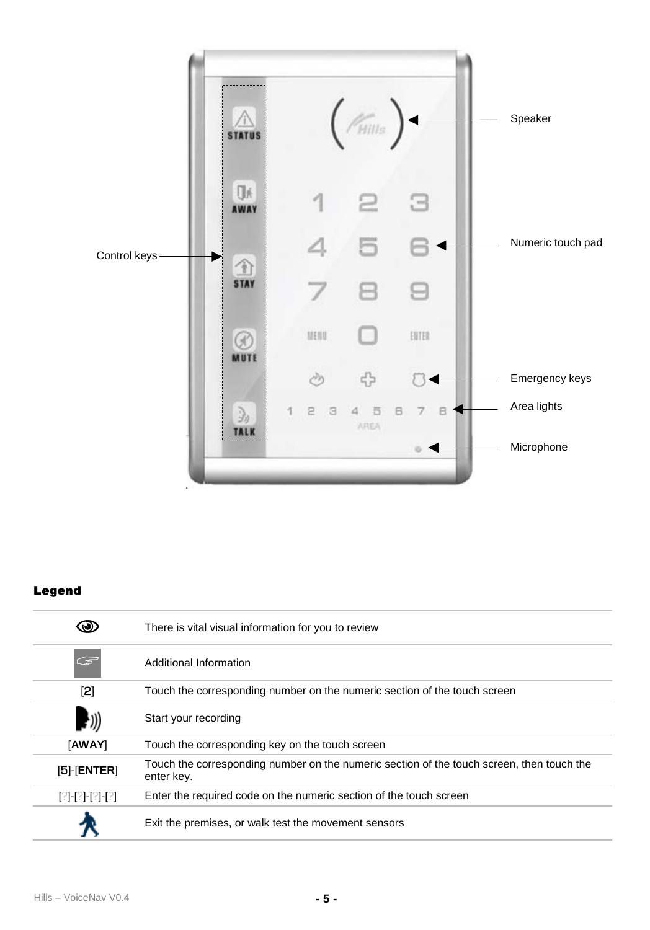

# **Legend**

|                   | There is vital visual information for you to review                                                     |  |  |
|-------------------|---------------------------------------------------------------------------------------------------------|--|--|
| G                 | Additional Information                                                                                  |  |  |
| [2]               | Touch the corresponding number on the numeric section of the touch screen                               |  |  |
|                   | Start your recording                                                                                    |  |  |
| [AWAY]            | Touch the corresponding key on the touch screen                                                         |  |  |
| $[5]$ - $[ENTER]$ | Touch the corresponding number on the numeric section of the touch screen, then touch the<br>enter key. |  |  |
| [?]-[?]-[?]-[?]   | Enter the required code on the numeric section of the touch screen                                      |  |  |
|                   | Exit the premises, or walk test the movement sensors                                                    |  |  |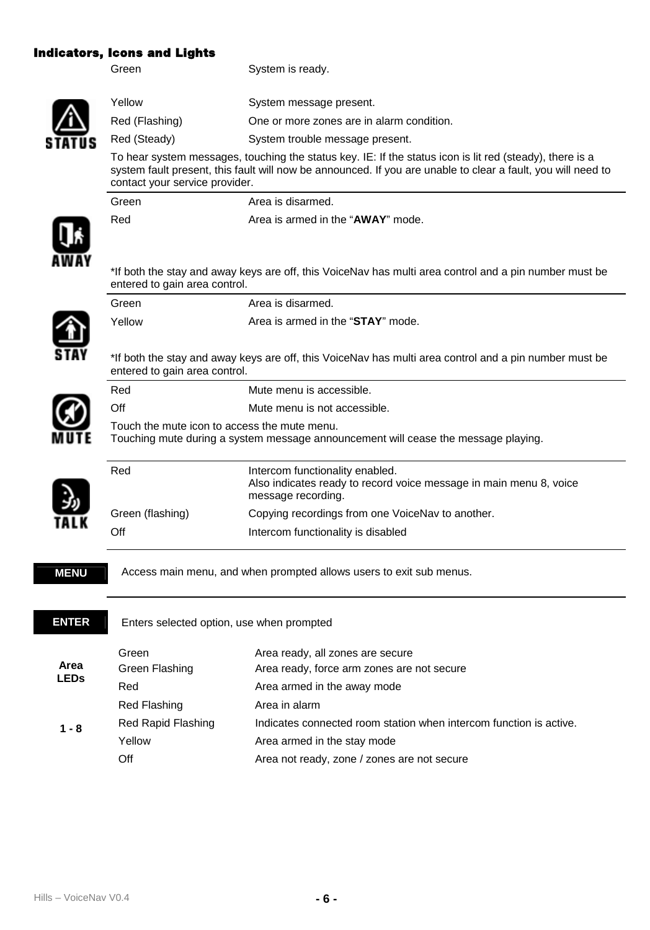# **Indicators, Icons and Lights**

Green System is ready. Yellow System message present.

Red (Flashing) One or more zones are in alarm condition.

Red (Steady) System trouble message present.

Red **Area** is armed in the "**AWAY**" mode.

Green Area is disarmed.

To hear system messages, touching the status key. IE: If the status icon is lit red (steady), there is a system fault present, this fault will now be announced. If you are unable to clear a fault, you will need to contact your service provider.

\*If both the stay and away keys are off, this VoiceNav has multi area control and a pin number must be entered to gain area control. Green **Area** is disarmed. Yellow Area is armed in the "**STAY**" mode. \*If both the stay and away keys are off, this VoiceNav has multi area control and a pin number must be entered to gain area control. Red Mute menu is accessible. Off Mute menu is not accessible. Touch the mute icon to access the mute menu. Touching mute during a system message announcement will cease the message playing. Red **Intercom** functionality enabled. Also indicates ready to record voice message in main menu 8, voice message recording. Green (flashing) Copying recordings from one VoiceNav to another. Off Intercom functionality is disabled **MENU** Access main menu, and when prompted allows users to exit sub menus. **ENTER** Enters selected option, use when prompted Green Area ready, all zones are secure Green Flashing **Area ready, force arm zones are not secure** Red **Red Area armed in the away mode** Red Flashing **Area** in alarm Red Rapid Flashing Indicates connected room station when intercom function is active. Yellow Area armed in the stay mode **Area LEDs 1 - 8** Off **Area not ready, zone / zones are not secure**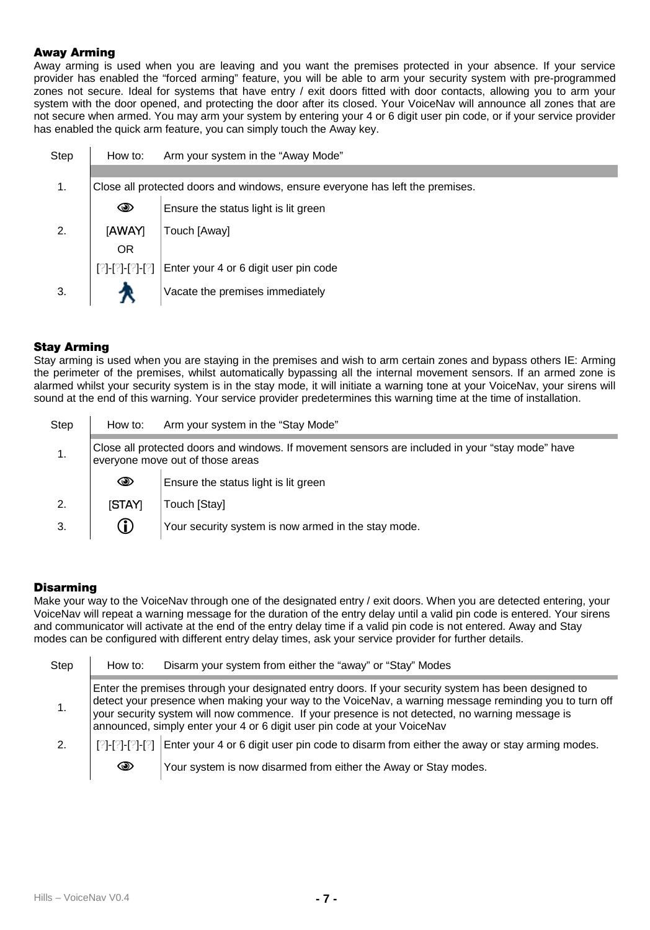## **Away Arming**

Away arming is used when you are leaving and you want the premises protected in your absence. If your service provider has enabled the "forced arming" feature, you will be able to arm your security system with pre-programmed zones not secure. Ideal for systems that have entry / exit doors fitted with door contacts, allowing you to arm your system with the door opened, and protecting the door after its closed. Your VoiceNav will announce all zones that are not secure when armed. You may arm your system by entering your 4 or 6 digit user pin code, or if your service provider has enabled the quick arm feature, you can simply touch the Away key.

| Step | How to:                                                                       | Arm your system in the "Away Mode"    |  |
|------|-------------------------------------------------------------------------------|---------------------------------------|--|
|      |                                                                               |                                       |  |
| 1.   | Close all protected doors and windows, ensure everyone has left the premises. |                                       |  |
|      | ⊕                                                                             | Ensure the status light is lit green  |  |
| 2.   | [AWAY]                                                                        | Touch [Away]                          |  |
|      | <b>OR</b>                                                                     |                                       |  |
|      | [?]-[?]-[?]-[?]                                                               | Enter your 4 or 6 digit user pin code |  |
| 3.   |                                                                               | Vacate the premises immediately       |  |

# **Stay Arming**

Stay arming is used when you are staying in the premises and wish to arm certain zones and bypass others IE: Arming the perimeter of the premises, whilst automatically bypassing all the internal movement sensors. If an armed zone is alarmed whilst your security system is in the stay mode, it will initiate a warning tone at your VoiceNav, your sirens will sound at the end of this warning. Your service provider predetermines this warning time at the time of installation.

| Step | How to:                                                                                                                              | Arm your system in the "Stay Mode"                  |
|------|--------------------------------------------------------------------------------------------------------------------------------------|-----------------------------------------------------|
|      | Close all protected doors and windows. If movement sensors are included in your "stay mode" have<br>everyone move out of those areas |                                                     |
|      | ◉                                                                                                                                    | Ensure the status light is lit green                |
| 2.   | [STAY]                                                                                                                               | Touch [Stay]                                        |
| 3.   | $^\circledR$                                                                                                                         | Your security system is now armed in the stay mode. |

#### **Disarming**

Make your way to the VoiceNay through one of the designated entry / exit doors. When you are detected entering, your VoiceNav will repeat a warning message for the duration of the entry delay until a valid pin code is entered. Your sirens and communicator will activate at the end of the entry delay time if a valid pin code is not entered. Away and Stay modes can be configured with different entry delay times, ask your service provider for further details.

| Step | How to:                                                                                                                                                                                                                                                                                                                                                                                       | Disarm your system from either the "away" or "Stay" Modes                                                    |  |
|------|-----------------------------------------------------------------------------------------------------------------------------------------------------------------------------------------------------------------------------------------------------------------------------------------------------------------------------------------------------------------------------------------------|--------------------------------------------------------------------------------------------------------------|--|
|      | Enter the premises through your designated entry doors. If your security system has been designed to<br>detect your presence when making your way to the VoiceNay, a warning message reminding you to turn off<br>your security system will now commence. If your presence is not detected, no warning message is<br>announced, simply enter your 4 or 6 digit user pin code at your VoiceNav |                                                                                                              |  |
| 2.   |                                                                                                                                                                                                                                                                                                                                                                                               | [ $[?]-[?]-[?]$ ] Enter your 4 or 6 digit user pin code to disarm from either the away or stay arming modes. |  |
|      | ◉                                                                                                                                                                                                                                                                                                                                                                                             | Your system is now disarmed from either the Away or Stay modes.                                              |  |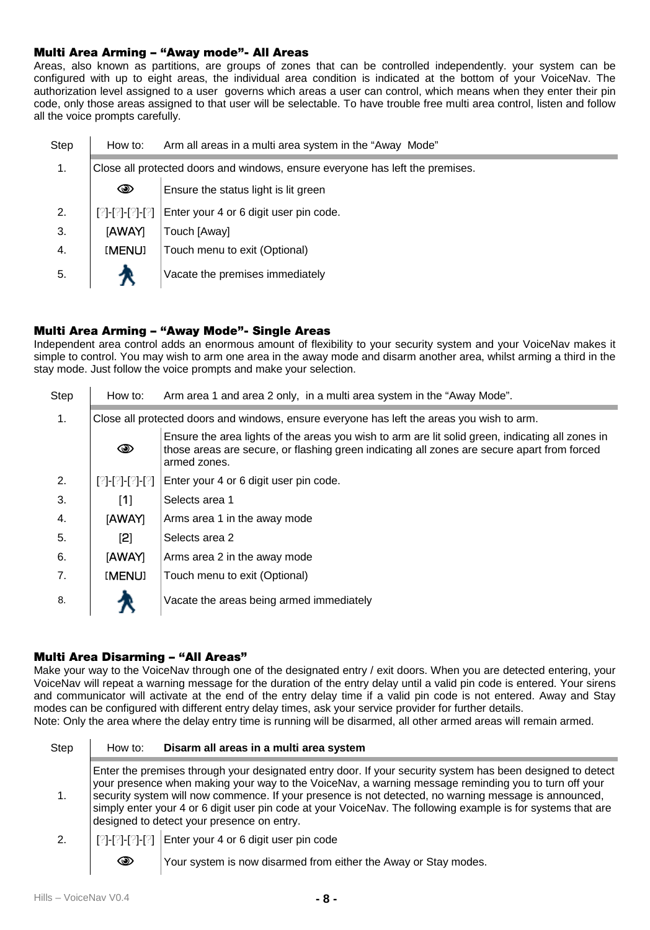#### **Multi Area Arming – "Away mode"- All Areas**

Areas, also known as partitions, are groups of zones that can be controlled independently. your system can be configured with up to eight areas, the individual area condition is indicated at the bottom of your VoiceNav. The authorization level assigned to a user governs which areas a user can control, which means when they enter their pin code, only those areas assigned to that user will be selectable. To have trouble free multi area control, listen and follow all the voice prompts carefully.

| Step | How to:         | Arm all areas in a multi area system in the "Away Mode"                       |  |  |
|------|-----------------|-------------------------------------------------------------------------------|--|--|
| 1.   |                 | Close all protected doors and windows, ensure everyone has left the premises. |  |  |
|      | ◉               | Ensure the status light is lit green                                          |  |  |
| 2.   | [?]-[?]-[?]-[?] | Enter your 4 or 6 digit user pin code.                                        |  |  |
| 3.   | <b>IAWAYI</b>   | Touch [Awav]                                                                  |  |  |
| 4.   | [MENU]          | Touch menu to exit (Optional)                                                 |  |  |
| 5.   |                 | Vacate the premises immediately                                               |  |  |

# **Multi Area Arming – "Away Mode"- Single Areas**

Independent area control adds an enormous amount of flexibility to your security system and your VoiceNav makes it simple to control. You may wish to arm one area in the away mode and disarm another area, whilst arming a third in the stay mode. Just follow the voice prompts and make your selection.

| Step | How to:         | Arm area 1 and area 2 only, in a multi area system in the "Away Mode".                                                                                                                                          |  |
|------|-----------------|-----------------------------------------------------------------------------------------------------------------------------------------------------------------------------------------------------------------|--|
| 1.   |                 | Close all protected doors and windows, ensure everyone has left the areas you wish to arm.                                                                                                                      |  |
|      | ◉               | Ensure the area lights of the areas you wish to arm are lit solid green, indicating all zones in<br>those areas are secure, or flashing green indicating all zones are secure apart from forced<br>armed zones. |  |
| 2.   | [2]-[2]-[2]-[2] | Enter your 4 or 6 digit user pin code.                                                                                                                                                                          |  |
| 3.   | [1]             | Selects area 1                                                                                                                                                                                                  |  |
| 4.   | <b>IAWAYI</b>   | Arms area 1 in the away mode                                                                                                                                                                                    |  |
| 5.   | $^{[2]}$        | Selects area 2                                                                                                                                                                                                  |  |
| 6.   | <b>IAWAYI</b>   | Arms area 2 in the away mode                                                                                                                                                                                    |  |
| 7.   | [MENU]          | Touch menu to exit (Optional)                                                                                                                                                                                   |  |
| 8.   |                 | Vacate the areas being armed immediately                                                                                                                                                                        |  |

#### **Multi Area Disarming – "All Areas"**

Make your way to the VoiceNav through one of the designated entry / exit doors. When you are detected entering, your VoiceNav will repeat a warning message for the duration of the entry delay until a valid pin code is entered. Your sirens and communicator will activate at the end of the entry delay time if a valid pin code is not entered. Away and Stay modes can be configured with different entry delay times, ask your service provider for further details. Note: Only the area where the delay entry time is running will be disarmed, all other armed areas will remain armed.

| Step | How to: | Disarm all areas in a multi area system                                                                                                                                                                                                                                                                                                                                                                                                                                                   |
|------|---------|-------------------------------------------------------------------------------------------------------------------------------------------------------------------------------------------------------------------------------------------------------------------------------------------------------------------------------------------------------------------------------------------------------------------------------------------------------------------------------------------|
|      |         | Enter the premises through your designated entry door. If your security system has been designed to detect<br>your presence when making your way to the VoiceNay, a warning message reminding you to turn off your<br>security system will now commence. If your presence is not detected, no warning message is announced,<br>simply enter your 4 or 6 digit user pin code at your VoiceNav. The following example is for systems that are<br>designed to detect your presence on entry. |
| 2.   |         | [[2]-[2]-[2]-[2] Enter your 4 or 6 digit user pin code                                                                                                                                                                                                                                                                                                                                                                                                                                    |
|      | ☜       | Your system is now disarmed from either the Away or Stay modes.                                                                                                                                                                                                                                                                                                                                                                                                                           |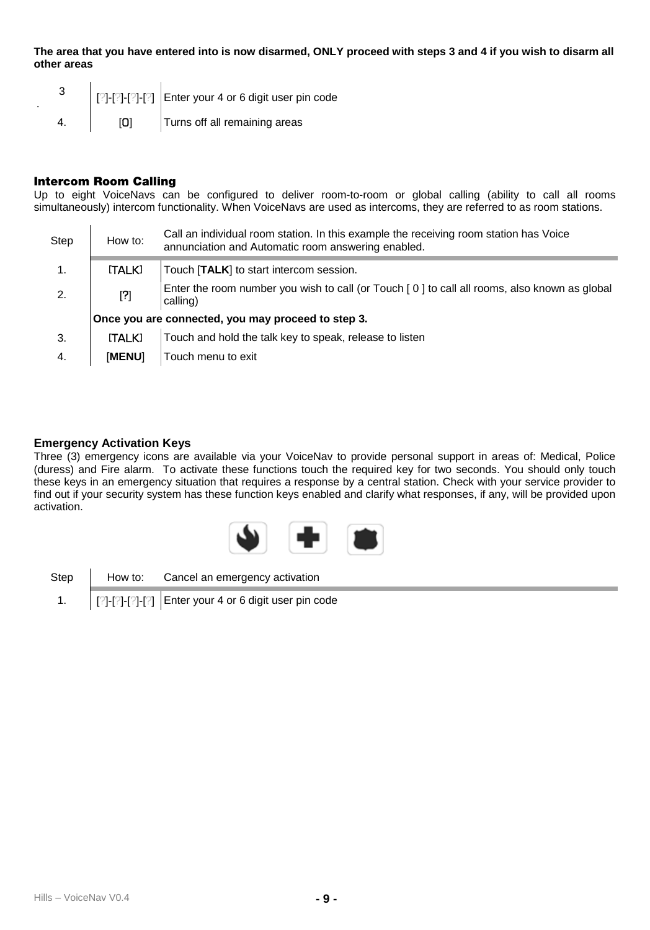**The area that you have entered into is now disarmed, ONLY proceed with steps 3 and 4 if you wish to disarm all other areas** 

|  |     | [?]-[?]-[?]-[?] Enter your 4 or 6 digit user pin code |
|--|-----|-------------------------------------------------------|
|  | וסו | Turns off all remaining areas                         |

### **Intercom Room Calling**

Up to eight VoiceNavs can be configured to deliver room-to-room or global calling (ability to call all rooms simultaneously) intercom functionality. When VoiceNavs are used as intercoms, they are referred to as room stations.

| Step           | How to:       | Call an individual room station. In this example the receiving room station has Voice<br>annunciation and Automatic room answering enabled. |
|----------------|---------------|---------------------------------------------------------------------------------------------------------------------------------------------|
| $\mathbf{1}$ . | [TALK]        | Touch [TALK] to start intercom session.                                                                                                     |
| 2.             | $^{[2]}$      | Enter the room number you wish to call (or Touch [0] to call all rooms, also known as global<br>calling)                                    |
|                |               | Once you are connected, you may proceed to step 3.                                                                                          |
| 3.             | [TALK]        | Touch and hold the talk key to speak, release to listen                                                                                     |
| 4.             | <b>IMENUT</b> | Touch menu to exit                                                                                                                          |

## **Emergency Activation Keys**

Three (3) emergency icons are available via your VoiceNav to provide personal support in areas of: Medical, Police (duress) and Fire alarm. To activate these functions touch the required key for two seconds. You should only touch these keys in an emergency situation that requires a response by a central station. Check with your service provider to find out if your security system has these function keys enabled and clarify what responses, if any, will be provided upon activation.



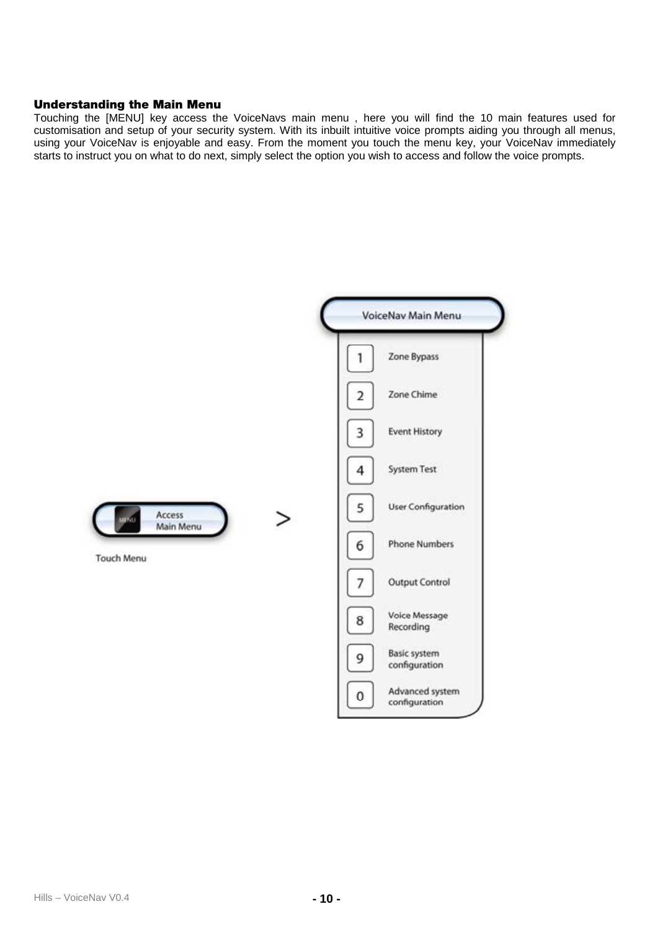# **Understanding the Main Menu**

Touching the [MENU] key access the VoiceNavs main menu , here you will find the 10 main features used for<br>customisation and setup of your security system. With its inbuilt intuitive voice prompts aiding you through all men starts to instruct you on what to do next, simply select the option you wish to access and follow the voice prompts.

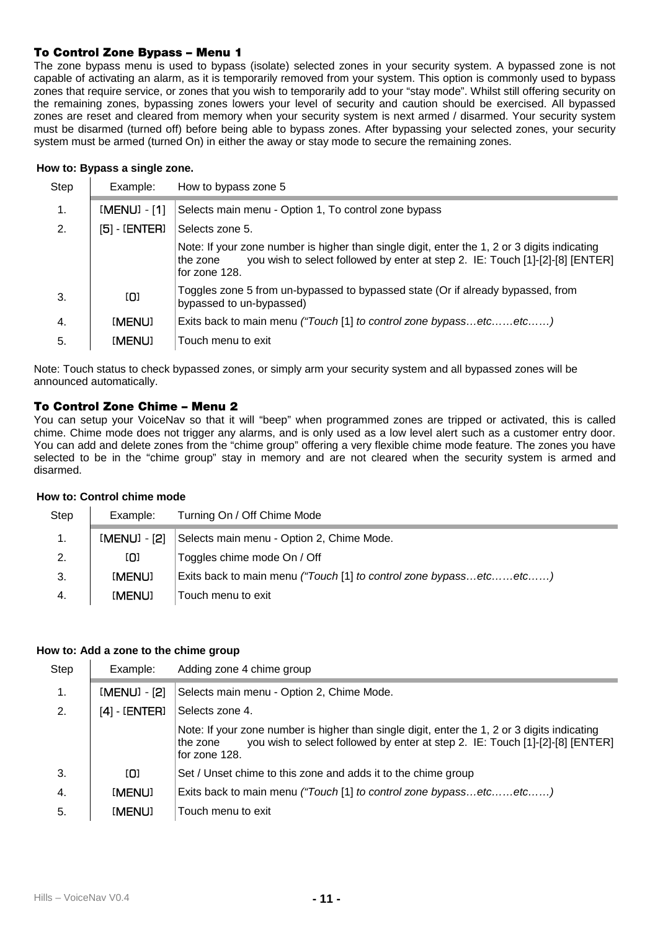# **To Control Zone Bypass – Menu 1**

The zone bypass menu is used to bypass (isolate) selected zones in your security system. A bypassed zone is not capable of activating an alarm, as it is temporarily removed from your system. This option is commonly used to bypass zones that require service, or zones that you wish to temporarily add to your "stay mode". Whilst still offering security on the remaining zones, bypassing zones lowers your level of security and caution should be exercised. All bypassed zones are reset and cleared from memory when your security system is next armed / disarmed. Your security system must be disarmed (turned off) before being able to bypass zones. After bypassing your selected zones, your security system must be armed (turned On) in either the away or stay mode to secure the remaining zones.

# **How to: Bypass a single zone.**

| Step         | Example:               | How to bypass zone 5                                                                                                                                                                                       |
|--------------|------------------------|------------------------------------------------------------------------------------------------------------------------------------------------------------------------------------------------------------|
| 1.           | $[MENT - 1]$           | Selects main menu - Option 1, To control zone bypass                                                                                                                                                       |
| 2.           | [5] - [ <b>ENTER</b> ] | Selects zone 5.                                                                                                                                                                                            |
|              |                        | Note: If your zone number is higher than single digit, enter the 1, 2 or 3 digits indicating<br>you wish to select followed by enter at step 2. IE: Touch [1]-[2]-[8] [ENTER]<br>the zone<br>for zone 128. |
| 3.           | [0]                    | Toggles zone 5 from un-bypassed to bypassed state (Or if already bypassed, from<br>bypassed to un-bypassed)                                                                                                |
| $\mathbf{4}$ | [MENU]                 | Exits back to main menu ("Touch [1] to control zone bypassetcetc)                                                                                                                                          |
| 5.           | [MENU]                 | Touch menu to exit                                                                                                                                                                                         |

Note: Touch status to check bypassed zones, or simply arm your security system and all bypassed zones will be announced automatically.

# **To Control Zone Chime – Menu 2**

You can setup your VoiceNav so that it will "beep" when programmed zones are tripped or activated, this is called chime. Chime mode does not trigger any alarms, and is only used as a low level alert such as a customer entry door. You can add and delete zones from the "chime group" offering a very flexible chime mode feature. The zones you have selected to be in the "chime group" stay in memory and are not cleared when the security system is armed and disarmed.

# **How to: Control chime mode**

| Step | Example:     | Turning On / Off Chime Mode                                       |
|------|--------------|-------------------------------------------------------------------|
|      | [MENU] - [2] | Selects main menu - Option 2, Chime Mode.                         |
| 2.   | [0]          | Toggles chime mode On / Off                                       |
| 3.   | [MENU]       | Exits back to main menu ("Touch [1] to control zone bypassetcetc) |
| 4.   | [MENU]       | Touch menu to exit                                                |

## **How to: Add a zone to the chime group**

| Step | Example:          | Adding zone 4 chime group                                                                                                                                                                                  |
|------|-------------------|------------------------------------------------------------------------------------------------------------------------------------------------------------------------------------------------------------|
| 1.   | [MENU] - [2]      | Selects main menu - Option 2, Chime Mode.                                                                                                                                                                  |
| 2.   | $[4]$ - $[ENTER]$ | Selects zone 4.                                                                                                                                                                                            |
|      |                   | Note: If your zone number is higher than single digit, enter the 1, 2 or 3 digits indicating<br>you wish to select followed by enter at step 2. IE: Touch [1]-[2]-[8] [ENTER]<br>the zone<br>for zone 128. |
| 3.   | [O]               | Set / Unset chime to this zone and adds it to the chime group                                                                                                                                              |
| 4.   | [MENU]            | Exits back to main menu ("Touch [1] to control zone bypassetcetc)                                                                                                                                          |
| 5.   | [MENU]            | Touch menu to exit                                                                                                                                                                                         |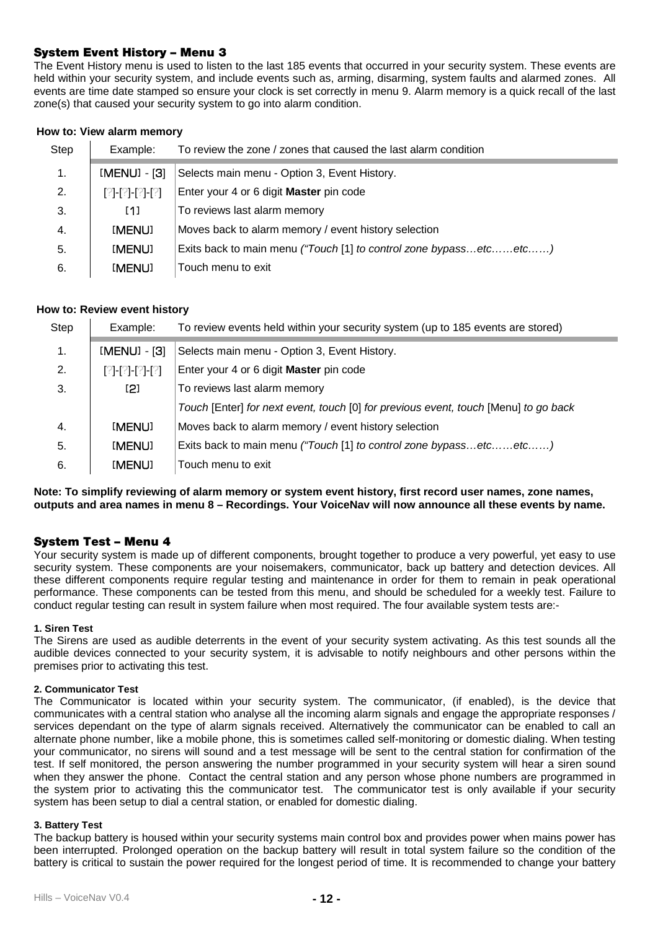#### **System Event History – Menu 3**

The Event History menu is used to listen to the last 185 events that occurred in your security system. These events are held within your security system, and include events such as, arming, disarming, system faults and alarmed zones. All events are time date stamped so ensure your clock is set correctly in menu 9. Alarm memory is a quick recall of the last zone(s) that caused your security system to go into alarm condition.

#### **How to: View alarm memory**

| Step | Example:        | To review the zone / zones that caused the last alarm condition   |
|------|-----------------|-------------------------------------------------------------------|
| 1.   | [MENU] - [3]    | Selects main menu - Option 3, Event History.                      |
| 2.   | [2]-[2]-[2]-[2] | Enter your 4 or 6 digit Master pin code                           |
| 3.   | [1]             | To reviews last alarm memory                                      |
| 4.   | [MENU]          | Moves back to alarm memory / event history selection              |
| 5.   | [MENU]          | Exits back to main menu ("Touch [1] to control zone bypassetcetc) |
| 6.   | [MENU]          | Touch menu to exit                                                |

#### **How to: Review event history**

| Step | Example:        | To review events held within your security system (up to 185 events are stored)     |
|------|-----------------|-------------------------------------------------------------------------------------|
| 1.   | [MENU] - [3]    | Selects main menu - Option 3, Event History.                                        |
| 2.   | [?]-[?]-[?]-[?] | Enter your 4 or 6 digit Master pin code                                             |
| 3.   | [2]             | To reviews last alarm memory                                                        |
|      |                 | Touch [Enter] for next event, touch [0] for previous event, touch [Menu] to go back |
| 4.   | [MENU]          | Moves back to alarm memory / event history selection                                |
| 5.   | [MENU]          | Exits back to main menu ("Touch [1] to control zone bypassetcetc)                   |
| 6.   | [MENU]          | Touch menu to exit                                                                  |

**Note: To simplify reviewing of alarm memory or system event history, first record user names, zone names, outputs and area names in menu 8 – Recordings. Your VoiceNav will now announce all these events by name.** 

#### **System Test – Menu 4**

Your security system is made up of different components, brought together to produce a very powerful, yet easy to use security system. These components are your noisemakers, communicator, back up battery and detection devices. All these different components require regular testing and maintenance in order for them to remain in peak operational performance. These components can be tested from this menu, and should be scheduled for a weekly test. Failure to conduct regular testing can result in system failure when most required. The four available system tests are:-

# **1. Siren Test**

The Sirens are used as audible deterrents in the event of your security system activating. As this test sounds all the audible devices connected to your security system, it is advisable to notify neighbours and other persons within the premises prior to activating this test.

#### **2. Communicator Test**

The Communicator is located within your security system. The communicator, (if enabled), is the device that communicates with a central station who analyse all the incoming alarm signals and engage the appropriate responses / services dependant on the type of alarm signals received. Alternatively the communicator can be enabled to call an alternate phone number, like a mobile phone, this is sometimes called self-monitoring or domestic dialing. When testing your communicator, no sirens will sound and a test message will be sent to the central station for confirmation of the test. If self monitored, the person answering the number programmed in your security system will hear a siren sound when they answer the phone. Contact the central station and any person whose phone numbers are programmed in the system prior to activating this the communicator test. The communicator test is only available if your security system has been setup to dial a central station, or enabled for domestic dialing.

#### **3. Battery Test**

The backup battery is housed within your security systems main control box and provides power when mains power has been interrupted. Prolonged operation on the backup battery will result in total system failure so the condition of the battery is critical to sustain the power required for the longest period of time. It is recommended to change your battery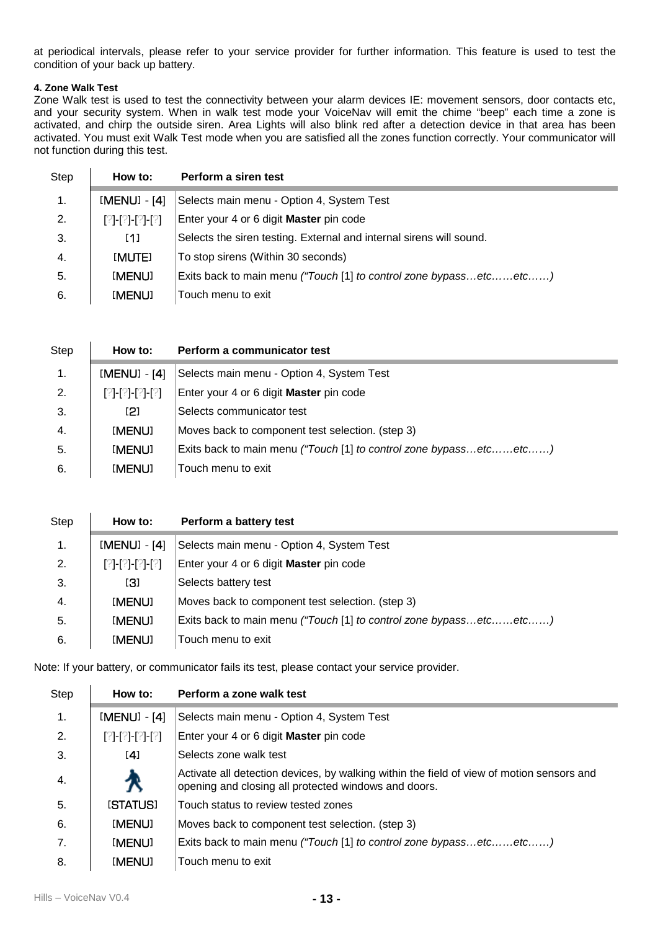at periodical intervals, please refer to your service provider for further information. This feature is used to test the condition of your back up battery.

#### **4. Zone Walk Test**

Zone Walk test is used to test the connectivity between your alarm devices IE: movement sensors, door contacts etc, and your security system. When in walk test mode your VoiceNav will emit the chime "beep" each time a zone is activated, and chirp the outside siren. Area Lights will also blink red after a detection device in that area has been activated. You must exit Walk Test mode when you are satisfied all the zones function correctly. Your communicator will not function during this test.

| Step           | How to:          | Perform a siren test                                                |
|----------------|------------------|---------------------------------------------------------------------|
| $\mathbf{1}$ . | [MENU] - [4]     | Selects main menu - Option 4, System Test                           |
| 2.             | [21-[21-[21-[21] | Enter your 4 or 6 digit Master pin code                             |
| 3.             | [1]              | Selects the siren testing. External and internal sirens will sound. |
| 4.             | [MUTE]           | To stop sirens (Within 30 seconds)                                  |
| 5.             | [MENU]           | Exits back to main menu ("Touch [1] to control zone bypassetcetc)   |
| 6.             | [MENU]           | Touch menu to exit                                                  |

| Step           | How to:         | Perform a communicator test                                       |
|----------------|-----------------|-------------------------------------------------------------------|
| $\mathbf{1}$ . | [MENU] - [4]    | Selects main menu - Option 4, System Test                         |
| 2.             | 121-121-121-121 | Enter your 4 or 6 digit Master pin code                           |
| 3.             | [2]             | Selects communicator test                                         |
| 4.             | [MENU]          | Moves back to component test selection. (step 3)                  |
| 5.             | [MENU]          | Exits back to main menu ("Touch [1] to control zone bypassetcetc) |
| 6.             | [MENU]          | Touch menu to exit                                                |

| Step | How to:          | Perform a battery test                                            |
|------|------------------|-------------------------------------------------------------------|
| 1.   | [MENU] - [4]     | Selects main menu - Option 4, System Test                         |
| 2.   | [21-121-121-121] | Enter your 4 or 6 digit Master pin code                           |
| 3.   | [3]              | Selects battery test                                              |
| 4.   | [MENU]           | Moves back to component test selection. (step 3)                  |
| 5.   | [MENU]           | Exits back to main menu ("Touch [1] to control zone bypassetcetc) |
| 6.   | [MENU]           | Touch menu to exit                                                |

Note: If your battery, or communicator fails its test, please contact your service provider.

| Step | How to:         | Perform a zone walk test                                                                                                                          |
|------|-----------------|---------------------------------------------------------------------------------------------------------------------------------------------------|
| 1.   | [MENU] - [4]    | Selects main menu - Option 4, System Test                                                                                                         |
| 2.   | [?]-[?]-[?]-[?] | Enter your 4 or 6 digit Master pin code                                                                                                           |
| 3.   | [4]             | Selects zone walk test                                                                                                                            |
| 4.   | Х               | Activate all detection devices, by walking within the field of view of motion sensors and<br>opening and closing all protected windows and doors. |
| 5.   | <b>ISTATUS1</b> | Touch status to review tested zones                                                                                                               |
| 6.   | [MENU]          | Moves back to component test selection. (step 3)                                                                                                  |
| 7.   | [MENU]          | Exits back to main menu ("Touch [1] to control zone bypassetcetc)                                                                                 |
| 8.   | [menu]          | Touch menu to exit                                                                                                                                |

l.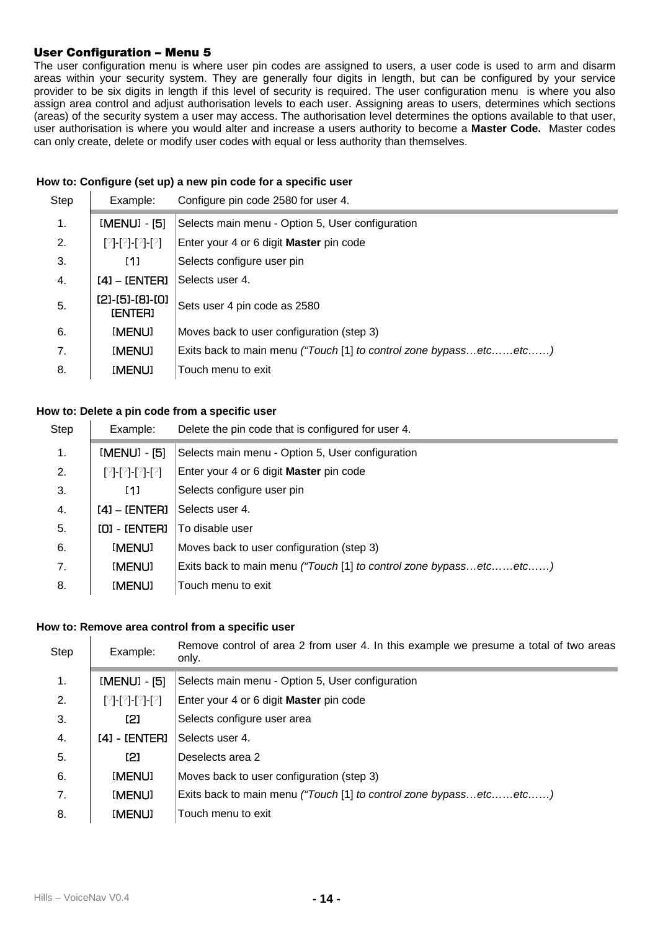# **User Configuration – Menu 5**

The user configuration menu is where user pin codes are assigned to users, a user code is used to arm and disarm areas within your security system. They are generally four digits in length, but can be configured by your service provider to be six digits in length if this level of security is required. The user configuration menu is where you also assign area control and adjust authorisation levels to each user. Assigning areas to users, determines which sections (areas) of the security system a user may access. The authorisation level determines the options available to that user, user authorisation is where you would alter and increase a users authority to become a **Master Code.** Master codes can only create, delete or modify user codes with equal or less authority than themselves.

#### **How to: Configure (set up) a new pin code for a specific user**

| Step | Example:                          | Configure pin code 2580 for user 4.                               |
|------|-----------------------------------|-------------------------------------------------------------------|
| 1.   | [MENU] - [5]                      | Selects main menu - Option 5, User configuration                  |
| 2.   | [?]-[?]-[?]-[?]                   | Enter your 4 or 6 digit Master pin code                           |
| 3.   | [1]                               | Selects configure user pin                                        |
| 4.   | [4] - [ENTER]                     | Selects user 4.                                                   |
| 5.   | (21-(51-(81-(0)<br><b>IENTERI</b> | Sets user 4 pin code as 2580                                      |
| 6.   | [MENU]                            | Moves back to user configuration (step 3)                         |
| 7.   | [MENU]                            | Exits back to main menu ("Touch [1] to control zone bypassetcetc) |
| 8.   | [MENU]                            | Touch menu to exit                                                |

#### **How to: Delete a pin code from a specific user**

| Step | Example:        | Delete the pin code that is configured for user 4.                |
|------|-----------------|-------------------------------------------------------------------|
| 1.   | [MENU] - [5]    | Selects main menu - Option 5, User configuration                  |
| 2.   | [?]-[?]-[?]-[?] | Enter your 4 or 6 digit Master pin code                           |
| 3.   | [1]             | Selects configure user pin                                        |
| 4.   | [4] - [ENTER]   | Selects user 4.                                                   |
| 5.   | [0] - [ENTER]   | To disable user                                                   |
| 6.   | [MENU]          | Moves back to user configuration (step 3)                         |
| 7.   | [MENU]          | Exits back to main menu ("Touch [1] to control zone bypassetcetc) |
| 8.   | [MENU]          | Touch menu to exit                                                |

# **How to: Remove area control from a specific user**

| Step | Example:        | Remove control of area 2 from user 4. In this example we presume a total of two areas<br>only. |
|------|-----------------|------------------------------------------------------------------------------------------------|
| 1.   | [MENU] - [5]    | Selects main menu - Option 5, User configuration                                               |
| 2.   | [?]-[?]-[?]-[?] | Enter your 4 or 6 digit Master pin code                                                        |
| 3.   | [2]             | Selects configure user area                                                                    |
| 4.   | [4] - [ENTER]   | Selects user 4.                                                                                |
| 5.   | [2]             | Deselects area 2                                                                               |
| 6.   | [MENU]          | Moves back to user configuration (step 3)                                                      |
| 7.   | [MENU]          | Exits back to main menu ("Touch [1] to control zone bypassetcetc)                              |
| 8.   | [MENU]          | Touch menu to exit                                                                             |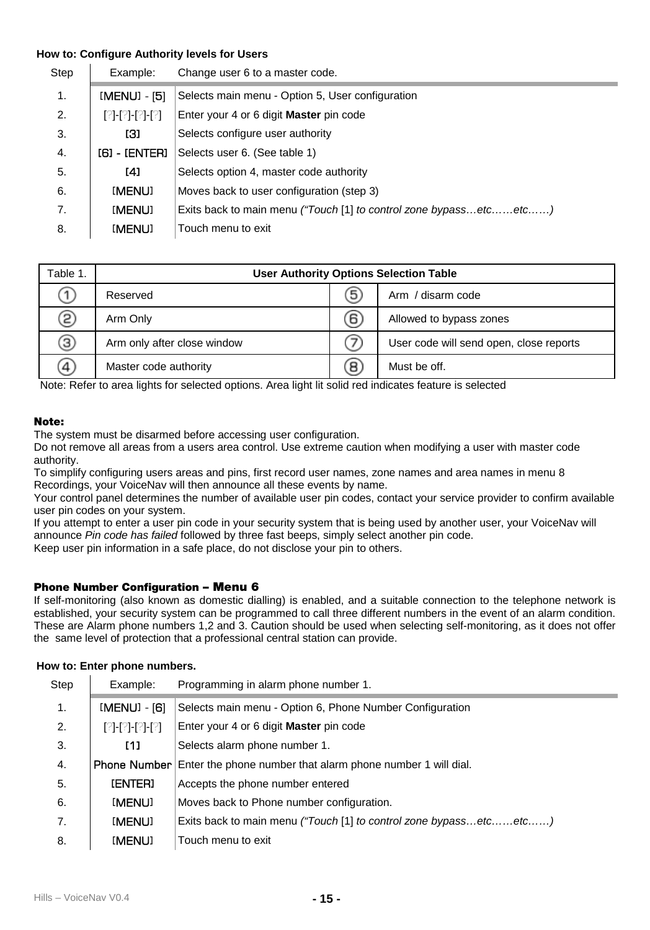# **How to: Configure Authority levels for Users**

| Step | Example:        | Change user 6 to a master code.                                   |
|------|-----------------|-------------------------------------------------------------------|
| 1.   | [MENU] - [5]    | Selects main menu - Option 5, User configuration                  |
| 2.   | [2]-[2]-[2]-[2] | Enter your 4 or 6 digit Master pin code                           |
| 3.   | [3]             | Selects configure user authority                                  |
| 4.   | [6] - [ENTER]   | Selects user 6. (See table 1)                                     |
| 5.   | [4]             | Selects option 4, master code authority                           |
| 6.   | [MENU]          | Moves back to user configuration (step 3)                         |
| 7.   | [ <b>MENU</b> ] | Exits back to main menu ("Touch [1] to control zone bypassetcetc) |
| 8.   | [MENU]          | Touch menu to exit                                                |

| Table 1. |                             |   | <b>User Authority Options Selection Table</b> |
|----------|-----------------------------|---|-----------------------------------------------|
|          | Reserved                    | 5 | Arm / disarm code                             |
| ව        | Arm Only                    | 6 | Allowed to bypass zones                       |
| 3)       | Arm only after close window |   | User code will send open, close reports       |
| (4)      | Master code authority       | 8 | Must be off.                                  |

Note: Refer to area lights for selected options. Area light lit solid red indicates feature is selected

#### **Note:**

The system must be disarmed before accessing user configuration.

Do not remove all areas from a users area control. Use extreme caution when modifying a user with master code authority.

To simplify configuring users areas and pins, first record user names, zone names and area names in menu 8 Recordings, your VoiceNav will then announce all these events by name.

Your control panel determines the number of available user pin codes, contact your service provider to confirm available user pin codes on your system.

If you attempt to enter a user pin code in your security system that is being used by another user, your VoiceNav will announce *Pin code has failed* followed by three fast beeps, simply select another pin code.

Keep user pin information in a safe place, do not disclose your pin to others.

# **Phone Number Configuration – Menu 6**

If self-monitoring (also known as domestic dialling) is enabled, and a suitable connection to the telephone network is established, your security system can be programmed to call three different numbers in the event of an alarm condition. These are Alarm phone numbers 1,2 and 3. Caution should be used when selecting self-monitoring, as it does not offer the same level of protection that a professional central station can provide.

#### **How to: Enter phone numbers.**

| Example:        | Programming in alarm phone number 1.                              |
|-----------------|-------------------------------------------------------------------|
| [MENU] - [6]    | Selects main menu - Option 6, Phone Number Configuration          |
| [2]-[2]-[2]-[2] | Enter your 4 or 6 digit Master pin code                           |
| [1]             | Selects alarm phone number 1.                                     |
| Phone Number    | Enter the phone number that alarm phone number 1 will dial.       |
| <b>IENTERI</b>  | Accepts the phone number entered                                  |
| [MENU]          | Moves back to Phone number configuration.                         |
| [MENU]          | Exits back to main menu ("Touch [1] to control zone bypassetcetc) |
| [MENU]          | Touch menu to exit                                                |
|                 |                                                                   |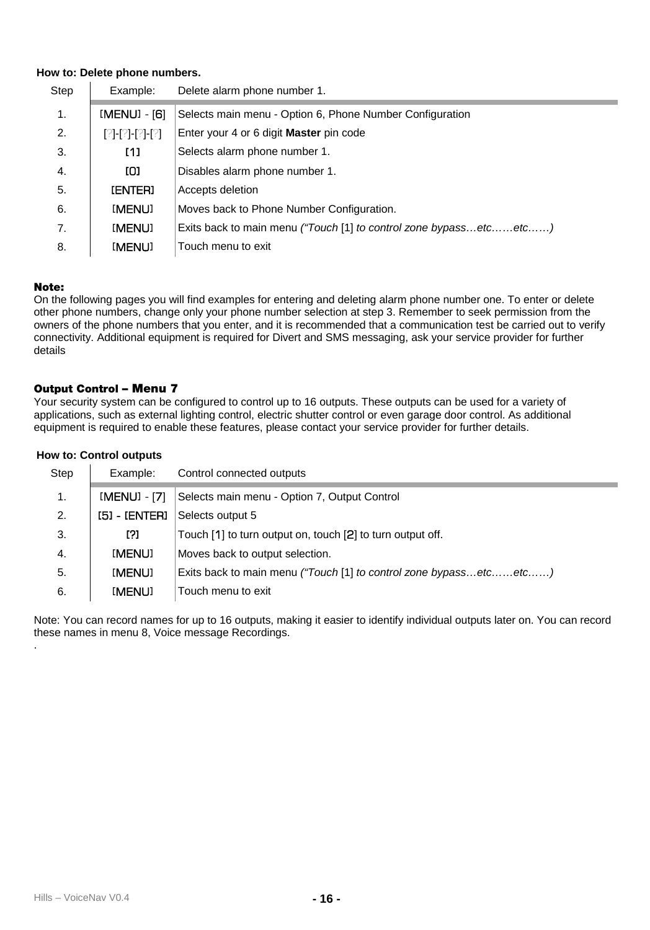#### **How to: Delete phone numbers.**

| Step | Example:        | Delete alarm phone number 1.                                      |
|------|-----------------|-------------------------------------------------------------------|
| 1.   | [MENU] - [6]    | Selects main menu - Option 6, Phone Number Configuration          |
| 2.   | [?]-[?]-[?]-[?] | Enter your 4 or 6 digit Master pin code                           |
| 3.   | [1]             | Selects alarm phone number 1.                                     |
| 4.   | ומז             | Disables alarm phone number 1.                                    |
| 5.   | <b>IENTERI</b>  | Accepts deletion                                                  |
| 6.   | [MENU]          | Moves back to Phone Number Configuration.                         |
| 7.   | [MENU]          | Exits back to main menu ("Touch [1] to control zone bypassetcetc) |
| 8.   | [MENU]          | Touch menu to exit                                                |

# **Note:**

.

On the following pages you will find examples for entering and deleting alarm phone number one. To enter or delete other phone numbers, change only your phone number selection at step 3. Remember to seek permission from the owners of the phone numbers that you enter, and it is recommended that a communication test be carried out to verify connectivity. Additional equipment is required for Divert and SMS messaging, ask your service provider for further details

#### **Output Control – Menu 7**

Your security system can be configured to control up to 16 outputs. These outputs can be used for a variety of applications, such as external lighting control, electric shutter control or even garage door control. As additional equipment is required to enable these features, please contact your service provider for further details.

## **How to: Control outputs**

| Step | Example:     | Control connected outputs                                         |
|------|--------------|-------------------------------------------------------------------|
| 1.   | [MENU] - [7] | Selects main menu - Option 7, Output Control                      |
| 2.   | [5] LENTERI  | Selects output 5                                                  |
| 3.   | [?]          | Touch [1] to turn output on, touch [2] to turn output off.        |
| 4.   | [MENU]       | Moves back to output selection.                                   |
| 5.   | [MENU]       | Exits back to main menu ("Touch [1] to control zone bypassetcetc) |
| 6.   | [MENU]       | Touch menu to exit                                                |

Note: You can record names for up to 16 outputs, making it easier to identify individual outputs later on. You can record these names in menu 8, Voice message Recordings.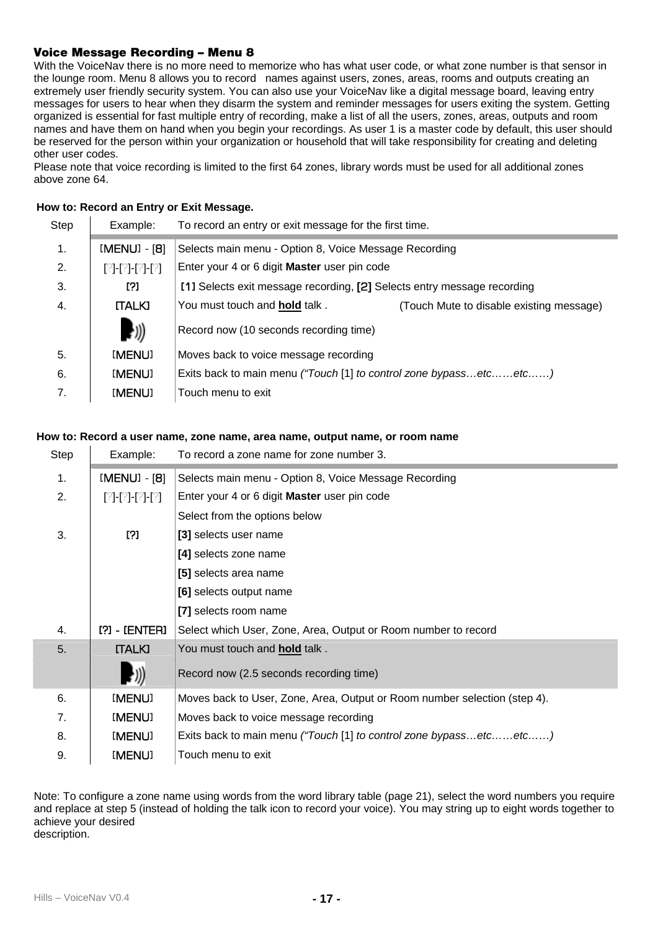# **Voice Message Recording – Menu 8**

With the VoiceNav there is no more need to memorize who has what user code, or what zone number is that sensor in the lounge room. Menu 8 allows you to record names against users, zones, areas, rooms and outputs creating an extremely user friendly security system. You can also use your VoiceNav like a digital message board, leaving entry messages for users to hear when they disarm the system and reminder messages for users exiting the system. Getting organized is essential for fast multiple entry of recording, make a list of all the users, zones, areas, outputs and room names and have them on hand when you begin your recordings. As user 1 is a master code by default, this user should be reserved for the person within your organization or household that will take responsibility for creating and deleting other user codes.

Please note that voice recording is limited to the first 64 zones, library words must be used for all additional zones above zone 64.

# **How to: Record an Entry or Exit Message.**

| Step           | Example:                   | To record an entry or exit message for the first time.                  |                                          |
|----------------|----------------------------|-------------------------------------------------------------------------|------------------------------------------|
| $\mathbf{1}$ . | [MENU] - [8]               | Selects main menu - Option 8, Voice Message Recording                   |                                          |
| 2.             | [?]-[?]-[?]-[?]            | Enter your 4 or 6 digit Master user pin code                            |                                          |
| 3.             | 121                        | [1] Selects exit message recording, [2] Selects entry message recording |                                          |
| 4.             | <b>ITALKI</b>              | You must touch and hold talk.                                           | (Touch Mute to disable existing message) |
|                | $\left(\frac{1}{2}\right)$ | Record now (10 seconds recording time)                                  |                                          |
| 5.             | [MENU]                     | Moves back to voice message recording                                   |                                          |
| 6.             | [MENU]                     | Exits back to main menu ("Touch [1] to control zone bypassetcetc)       |                                          |
| 7.             | [MENU]                     | Touch menu to exit                                                      |                                          |

#### **How to: Record a user name, zone name, area name, output name, or room name**

| Step | Example:              | To record a zone name for zone number 3.                                  |
|------|-----------------------|---------------------------------------------------------------------------|
| 1.   | [MENU] - [8]          | Selects main menu - Option 8, Voice Message Recording                     |
| 2.   | [2]-[2]-[2]-[2]       | Enter your 4 or 6 digit Master user pin code                              |
|      |                       | Select from the options below                                             |
| 3.   | 121                   | [3] selects user name                                                     |
|      |                       | [4] selects zone name                                                     |
|      |                       | [5] selects area name                                                     |
|      |                       | [6] selects output name                                                   |
|      |                       | [7] selects room name                                                     |
| 4.   | [?] - [ENTER]         | Select which User, Zone, Area, Output or Room number to record            |
| 5.   | <b>ITALKI</b>         | You must touch and hold talk.                                             |
|      | $\left(\cdot\right))$ | Record now (2.5 seconds recording time)                                   |
| 6.   | [MENU]                | Moves back to User, Zone, Area, Output or Room number selection (step 4). |
| 7.   | [MENU]                | Moves back to voice message recording                                     |
| 8.   | [MENU]                | Exits back to main menu ("Touch [1] to control zone bypassetcetc)         |
| 9.   | [MENU]                | Touch menu to exit                                                        |

Note: To configure a zone name using words from the word library table (page 21), select the word numbers you require and replace at step 5 (instead of holding the talk icon to record your voice). You may string up to eight words together to achieve your desired description.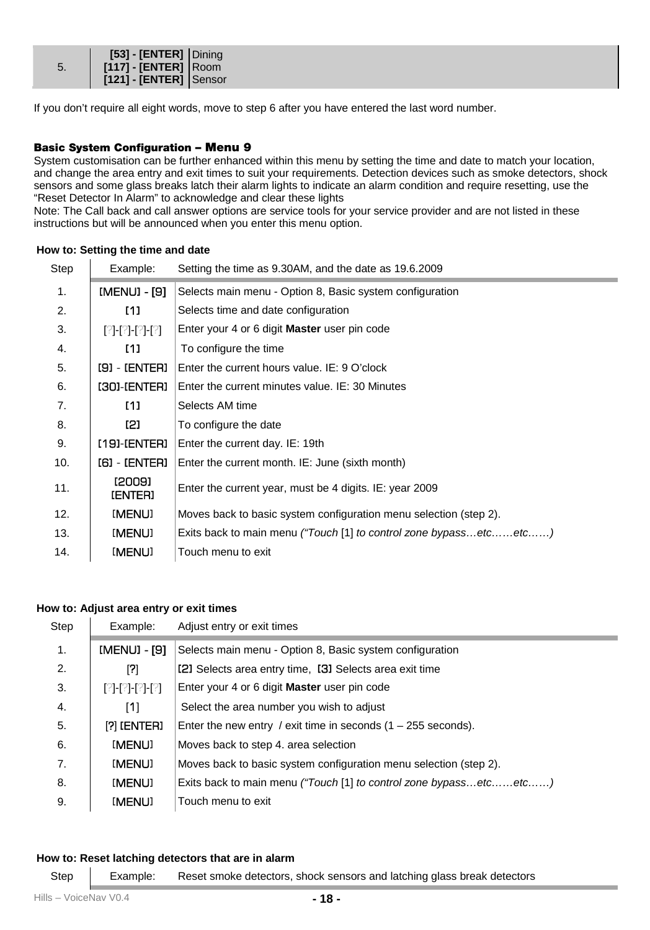|    | [53] - [ENTER] Dining  |  |
|----|------------------------|--|
| 5. | [117] - [ENTER] Room   |  |
|    | [121] - [ENTER] Sensor |  |

If you don't require all eight words, move to step 6 after you have entered the last word number.

#### **Basic System Configuration – Menu 9**

System customisation can be further enhanced within this menu by setting the time and date to match your location, and change the area entry and exit times to suit your requirements. Detection devices such as smoke detectors, shock sensors and some glass breaks latch their alarm lights to indicate an alarm condition and require resetting, use the "Reset Detector In Alarm" to acknowledge and clear these lights

Note: The Call back and call answer options are service tools for your service provider and are not listed in these instructions but will be announced when you enter this menu option.

| Step | Example:                 | Setting the time as 9.30AM, and the date as 19.6.2009             |
|------|--------------------------|-------------------------------------------------------------------|
| 1.   | [MENU] - [9]             | Selects main menu - Option 8, Basic system configuration          |
| 2.   | [1]                      | Selects time and date configuration                               |
| 3.   | [?]-[?]-[?]-[?]          | Enter your 4 or 6 digit Master user pin code                      |
| 4.   | [1]                      | To configure the time                                             |
| 5.   | [9] - [ENTER]            | Enter the current hours value. IE: 9 O'clock                      |
| 6.   | [30]-[ENTER]             | Enter the current minutes value. IE: 30 Minutes                   |
| 7.   | [1]                      | Selects AM time                                                   |
| 8.   | I2I                      | To configure the date                                             |
| 9.   | [19]-[ENTER]             | Enter the current day. IE: 19th                                   |
| 10.  | [6] - [ENTER]            | Enter the current month. IE: June (sixth month)                   |
| 11.  | [2009]<br><b>IENTERI</b> | Enter the current year, must be 4 digits. IE: year 2009           |
| 12.  | [MENU]                   | Moves back to basic system configuration menu selection (step 2). |
| 13.  | [MENU]                   | Exits back to main menu ("Touch [1] to control zone bypassetcetc) |
| 14.  | [MENU]                   | Touch menu to exit                                                |

#### **How to: Setting the time and date**

# **How to: Adjust area entry or exit times**

| Step | Example:           | Adjust entry or exit times                                        |
|------|--------------------|-------------------------------------------------------------------|
| 1.   | [MENU] - [9]       | Selects main menu - Option 8, Basic system configuration          |
| 2.   | [7]                | [2] Selects area entry time, [3] Selects area exit time           |
| 3.   | [2]-[2]-[2]-[2]    | Enter your 4 or 6 digit Master user pin code                      |
| 4.   | [1]                | Select the area number you wish to adjust                         |
| 5.   | <b>[?] [ENTER]</b> | Enter the new entry / exit time in seconds $(1 - 255$ seconds).   |
| 6.   | [MENU]             | Moves back to step 4, area selection                              |
| 7.   | [MENU]             | Moves back to basic system configuration menu selection (step 2). |
| 8.   | [MENU]             | Exits back to main menu ("Touch [1] to control zone bypassetcetc) |
| 9.   | [MENU]             | Touch menu to exit                                                |

#### **How to: Reset latching detectors that are in alarm**

Step Example: Reset smoke detectors, shock sensors and latching glass break detectors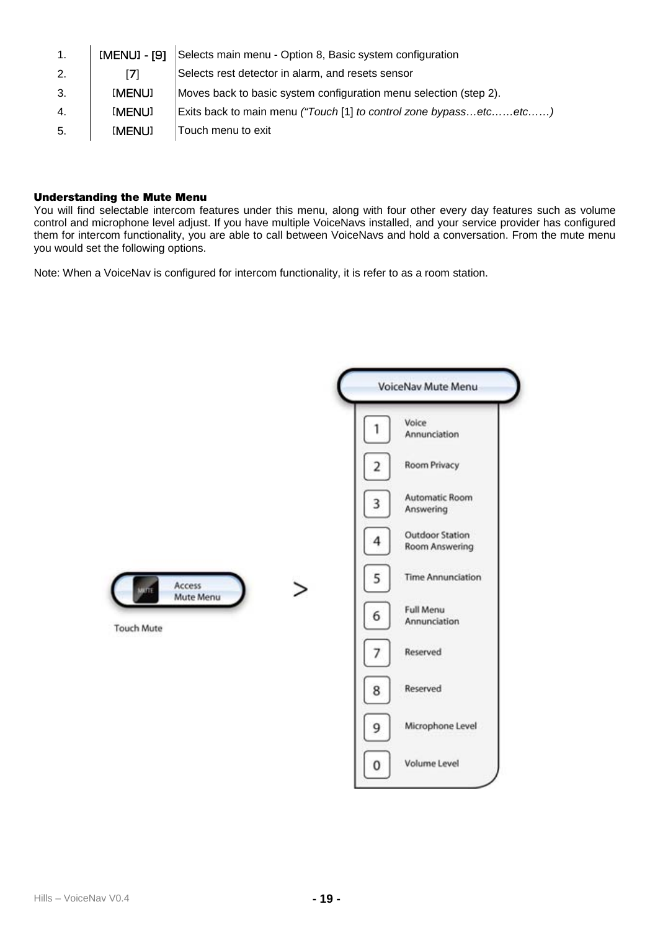| 1. | [MENU] - [9] | Selects main menu - Option 8, Basic system configuration          |
|----|--------------|-------------------------------------------------------------------|
| 2. | [7]          | Selects rest detector in alarm, and resets sensor                 |
| 3. | [MENU]       | Moves back to basic system configuration menu selection (step 2). |
| 4. | [MENU]       | Exits back to main menu ("Touch [1] to control zone bypassetcetc) |
| 5. | [MENU]       | Touch menu to exit                                                |

# **Understanding the Mute Menu**

You will find selectable intercom features under this menu, along with four other every day features such as volume control and microphone level adjust. If you have multiple VoiceNavs installed, and your service provider has configured them for intercom functionality, you are able to call between VoiceNavs and hold a conversation. From the mute menu you would set the following options.

Note: When a VoiceNav is configured for intercom functionality, it is refer to as a room station.

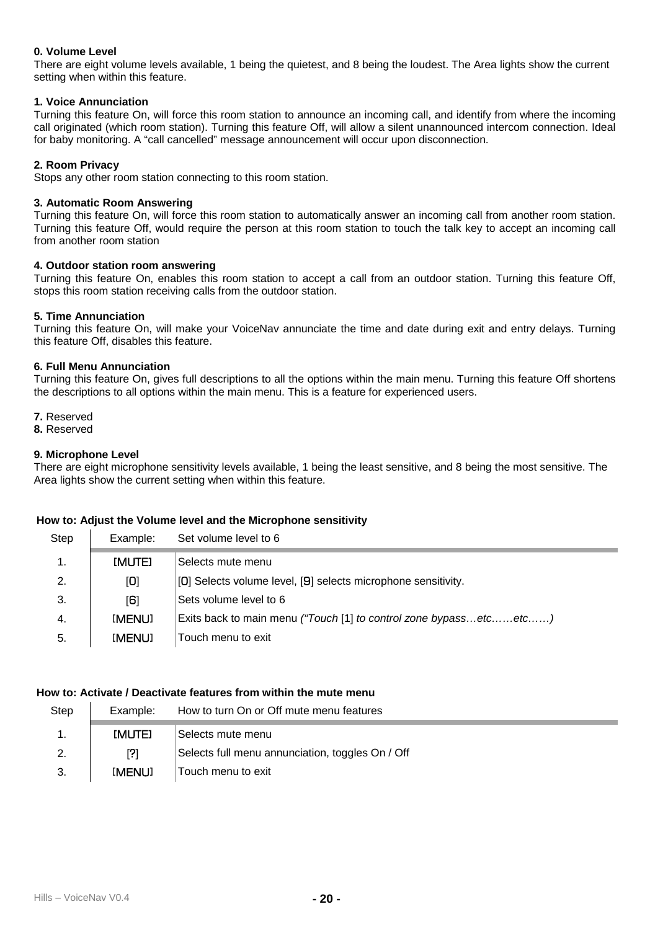#### **0. Volume Level**

There are eight volume levels available, 1 being the quietest, and 8 being the loudest. The Area lights show the current setting when within this feature.

#### **1. Voice Annunciation**

Turning this feature On, will force this room station to announce an incoming call, and identify from where the incoming call originated (which room station). Turning this feature Off, will allow a silent unannounced intercom connection. Ideal for baby monitoring. A "call cancelled" message announcement will occur upon disconnection.

# **2. Room Privacy**

Stops any other room station connecting to this room station.

#### **3. Automatic Room Answering**

Turning this feature On, will force this room station to automatically answer an incoming call from another room station. Turning this feature Off, would require the person at this room station to touch the talk key to accept an incoming call from another room station

#### **4. Outdoor station room answering**

Turning this feature On, enables this room station to accept a call from an outdoor station. Turning this feature Off, stops this room station receiving calls from the outdoor station.

#### **5. Time Annunciation**

Turning this feature On, will make your VoiceNav annunciate the time and date during exit and entry delays. Turning this feature Off, disables this feature.

## **6. Full Menu Annunciation**

Turning this feature On, gives full descriptions to all the options within the main menu. Turning this feature Off shortens the descriptions to all options within the main menu. This is a feature for experienced users.

- **7.** Reserved
- **8.** Reserved

#### **9. Microphone Level**

There are eight microphone sensitivity levels available, 1 being the least sensitive, and 8 being the most sensitive. The Area lights show the current setting when within this feature.

#### **How to: Adjust the Volume level and the Microphone sensitivity**

| Step           | Example:       | Set volume level to 6                                             |
|----------------|----------------|-------------------------------------------------------------------|
| $\mathbf{1}$ . | <b>IMUTEI</b>  | Selects mute menu                                                 |
| 2.             | $\mathbf{[O]}$ | [0] Selects volume level, [9] selects microphone sensitivity.     |
| 3.             | [B]            | Sets volume level to 6                                            |
| 4.             | [MENU]         | Exits back to main menu ("Touch [1] to control zone bypassetcetc) |
| -5.            | [MENU]         | Touch menu to exit                                                |

# **How to: Activate / Deactivate features from within the mute menu**

| Step | Example:      | How to turn On or Off mute menu features         |
|------|---------------|--------------------------------------------------|
|      | <b>IMUTEI</b> | Selects mute menu                                |
|      | ורו           | Selects full menu annunciation, toggles On / Off |
| 3.   | [MENU]        | Touch menu to exit                               |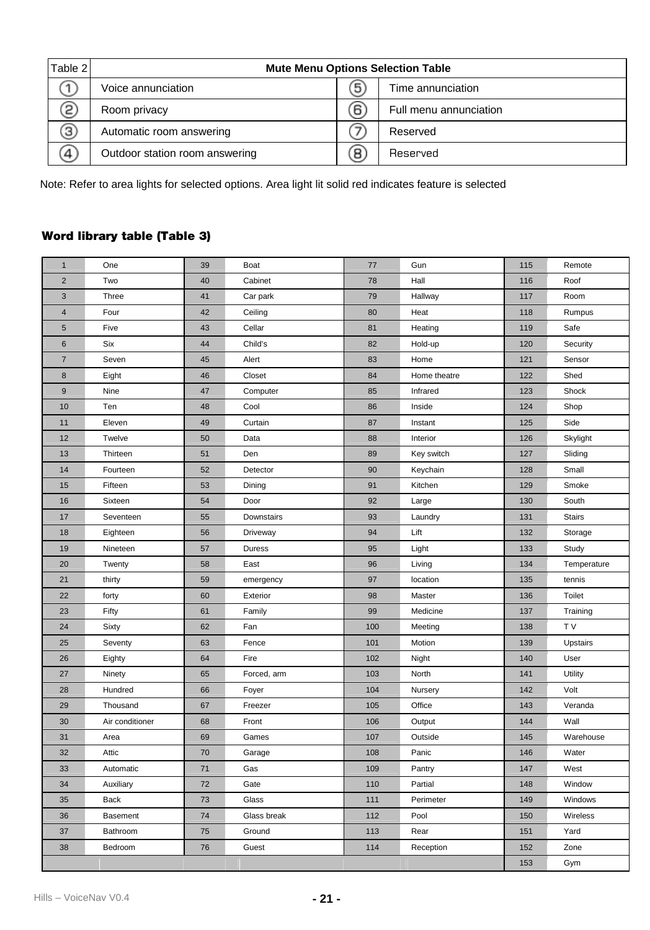| Table 2 | <b>Mute Menu Options Selection Table</b> |    |                        |  |
|---------|------------------------------------------|----|------------------------|--|
|         | Voice annunciation                       | 5  | Time annunciation      |  |
| 2       | Room privacy                             | 6) | Full menu annunciation |  |
| Э       | Automatic room answering                 |    | Reserved               |  |
| 4       | Outdoor station room answering           | 8  | Reserved               |  |

Note: Refer to area lights for selected options. Area light lit solid red indicates feature is selected

# **Word library table (Table 3)**

| $\mathbf{1}$   | One             | 39 | Boat        | 77  | Gun          | 115 | Remote         |
|----------------|-----------------|----|-------------|-----|--------------|-----|----------------|
| $\overline{2}$ | Two             | 40 | Cabinet     | 78  | Hall         | 116 | Roof           |
| 3              | Three           | 41 | Car park    | 79  | Hallway      | 117 | Room           |
| $\overline{4}$ | Four            | 42 | Ceiling     | 80  | Heat         | 118 | Rumpus         |
| 5              | Five            | 43 | Cellar      | 81  | Heating      | 119 | Safe           |
| 6              | Six             | 44 | Child's     | 82  | Hold-up      | 120 | Security       |
| $\overline{7}$ | Seven           | 45 | Alert       | 83  | Home         | 121 | Sensor         |
| 8              | Eight           | 46 | Closet      | 84  | Home theatre | 122 | Shed           |
| $\overline{9}$ | Nine            | 47 | Computer    | 85  | Infrared     | 123 | Shock          |
| 10             | Ten             | 48 | Cool        | 86  | Inside       | 124 | Shop           |
| 11             | Eleven          | 49 | Curtain     | 87  | Instant      | 125 | Side           |
| 12             | Twelve          | 50 | Data        | 88  | Interior     | 126 | Skylight       |
| 13             | Thirteen        | 51 | Den         | 89  | Key switch   | 127 | Sliding        |
| 14             | Fourteen        | 52 | Detector    | 90  | Keychain     | 128 | Small          |
| 15             | Fifteen         | 53 | Dining      | 91  | Kitchen      | 129 | Smoke          |
| 16             | Sixteen         | 54 | Door        | 92  | Large        | 130 | South          |
| 17             | Seventeen       | 55 | Downstairs  | 93  | Laundry      | 131 | <b>Stairs</b>  |
| 18             | Eighteen        | 56 | Driveway    | 94  | Lift         | 132 | Storage        |
| 19             | Nineteen        | 57 | Duress      | 95  | Light        | 133 | Study          |
| 20             | Twenty          | 58 | East        | 96  | Living       | 134 | Temperature    |
| 21             | thirty          | 59 | emergency   | 97  | location     | 135 | tennis         |
| 22             | forty           | 60 | Exterior    | 98  | Master       | 136 | Toilet         |
| 23             | Fifty           | 61 | Family      | 99  | Medicine     | 137 | Training       |
| 24             | Sixty           | 62 | Fan         | 100 | Meeting      | 138 | T <sub>V</sub> |
| 25             | Seventy         | 63 | Fence       | 101 | Motion       | 139 | Upstairs       |
| 26             | Eighty          | 64 | Fire        | 102 | Night        | 140 | User           |
| 27             | Ninety          | 65 | Forced, arm | 103 | North        | 141 | Utility        |
| 28             | Hundred         | 66 | Foyer       | 104 | Nursery      | 142 | Volt           |
| 29             | Thousand        | 67 | Freezer     | 105 | Office       | 143 | Veranda        |
| 30             | Air conditioner | 68 | Front       | 106 | Output       | 144 | Wall           |
| 31             | Area            | 69 | Games       | 107 | Outside      | 145 | Warehouse      |
| 32             | Attic           | 70 | Garage      | 108 | Panic        | 146 | Water          |
| 33             | Automatic       | 71 | Gas         | 109 | Pantry       | 147 | West           |
| 34             | Auxiliary       | 72 | Gate        | 110 | Partial      | 148 | Window         |
| 35             | Back            | 73 | Glass       | 111 | Perimeter    | 149 | Windows        |
| 36             | Basement        | 74 | Glass break | 112 | Pool         | 150 | Wireless       |
| 37             | Bathroom        | 75 | Ground      | 113 | Rear         | 151 | Yard           |
| 38             | Bedroom         | 76 | Guest       | 114 | Reception    | 152 | Zone           |
|                |                 |    |             |     |              | 153 | Gym            |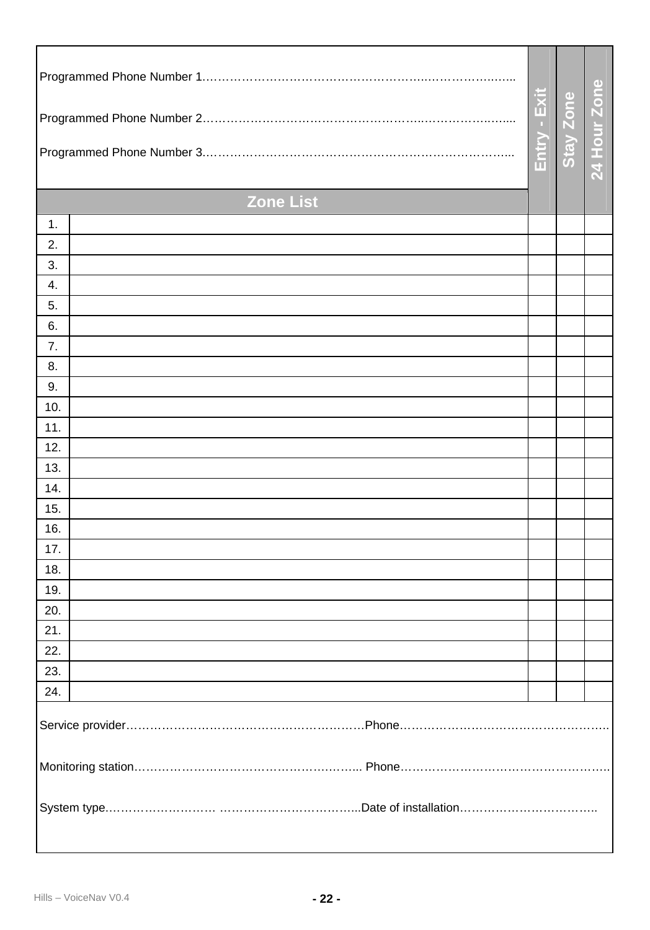|                  |              |                  | 24 Hour Zon |  |  |
|------------------|--------------|------------------|-------------|--|--|
|                  | Entry - Exit | <b>Stay Zone</b> |             |  |  |
| <b>Zone List</b> |              |                  |             |  |  |
| 1.               |              |                  |             |  |  |
| 2.               |              |                  |             |  |  |
| 3.               |              |                  |             |  |  |
| 4.               |              |                  |             |  |  |
| 5.               |              |                  |             |  |  |
| 6.               |              |                  |             |  |  |
| 7.               |              |                  |             |  |  |
| 8.               |              |                  |             |  |  |
| 9.               |              |                  |             |  |  |
| 10.              |              |                  |             |  |  |
| 11.              |              |                  |             |  |  |
| 12.              |              |                  |             |  |  |
| 13.              |              |                  |             |  |  |
| 14.              |              |                  |             |  |  |
| 15.<br>16.       |              |                  |             |  |  |
| 17.              |              |                  |             |  |  |
| 18.              |              |                  |             |  |  |
| 19.              |              |                  |             |  |  |
| 20.              |              |                  |             |  |  |
| 21.              |              |                  |             |  |  |
| 22.              |              |                  |             |  |  |
| 23.              |              |                  |             |  |  |
| 24.              |              |                  |             |  |  |
|                  |              |                  |             |  |  |
|                  |              |                  |             |  |  |
|                  |              |                  |             |  |  |
|                  |              |                  |             |  |  |